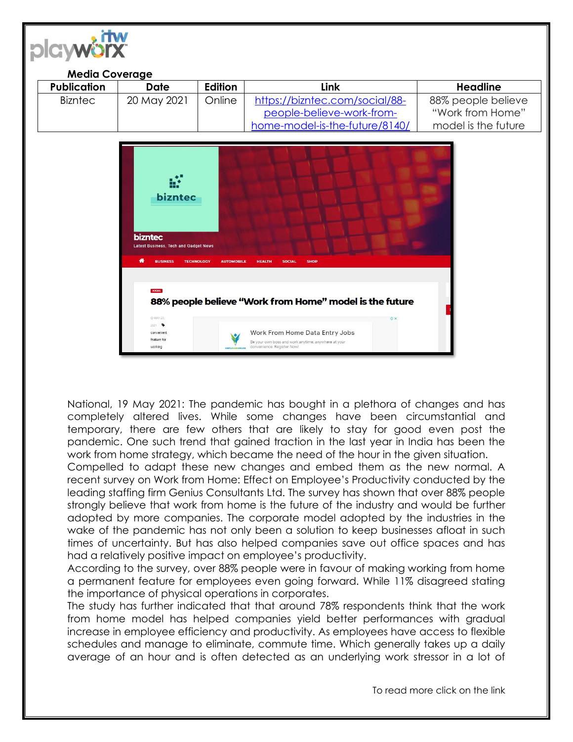| <b>Media Coverage</b><br><b>Publication</b> | <b>Date</b>                                                                            | Edition                                | Link                                                    | <b>Headline</b>     |
|---------------------------------------------|----------------------------------------------------------------------------------------|----------------------------------------|---------------------------------------------------------|---------------------|
| <b>Bizntec</b>                              | 20 May 2021                                                                            | Online                                 | https://bizntec.com/social/88-                          | 88% people believe  |
|                                             |                                                                                        |                                        | people-believe-work-from-                               | "Work from Home"    |
|                                             |                                                                                        |                                        | home-model-is-the-future/8140/                          | model is the future |
|                                             | bizntec                                                                                |                                        |                                                         |                     |
|                                             | <b>bizntec</b><br><b>Latest Business, Tech and Gadget News</b><br>₩<br><b>BUSINESS</b> | <b>TECHNOLOGY</b><br><b>AUTOMOBILE</b> | <b>SHOP</b><br><b>HEALTH</b><br><b>SOCIAL</b>           |                     |
|                                             | <b>SOCIAL</b>                                                                          |                                        | 88% people believe "Work from Home" model is the future |                     |
|                                             | @ MAY 20.<br>2021<br>convenient                                                        |                                        | <b>O</b> X<br>Work From Home Data Entry Jobs            |                     |

 $\sim$ 

National, 19 May 2021: The pandemic has bought in a plethora of changes and has completely altered lives. While some changes have been circumstantial and temporary, there are few others that are likely to stay for good even post the pandemic. One such trend that gained traction in the last year in India has been the work from home strategy, which became the need of the hour in the given situation.

Compelled to adapt these new changes and embed them as the new normal. A recent survey on Work from Home: Effect on Employee's Productivity conducted by the leading staffing firm Genius Consultants Ltd. The survey has shown that over 88% people strongly believe that work from home is the future of the industry and would be further adopted by more companies. The corporate model adopted by the industries in the wake of the pandemic has not only been a solution to keep businesses afloat in such times of uncertainty. But has also helped companies save out office spaces and has had a relatively positive impact on employee's productivity.

According to the survey, over 88% people were in favour of making working from home a permanent feature for employees even going forward. While 11% disagreed stating the importance of physical operations in corporates.

The study has further indicated that that around 78% respondents think that the work from home model has helped companies yield better performances with gradual increase in employee efficiency and productivity. As employees have access to flexible schedules and manage to eliminate, commute time. Which generally takes up a daily average of an hour and is often detected as an underlying work stressor in a lot of